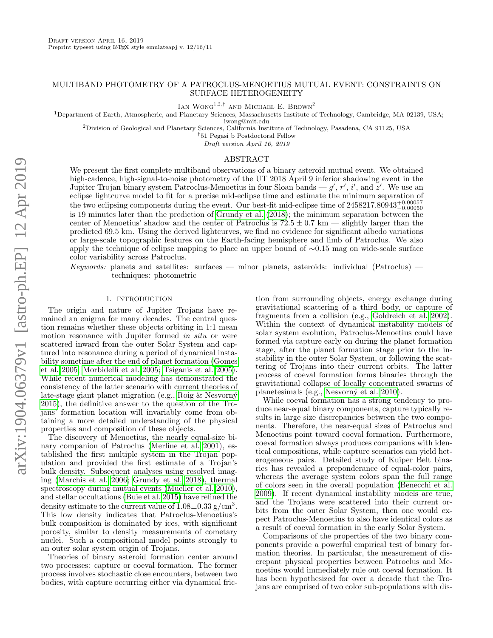# MULTIBAND PHOTOMETRY OF A PATROCLUS-MENOETIUS MUTUAL EVENT: CONSTRAINTS ON SURFACE HETEROGENEITY

IAN WONG<sup>1,2,†</sup> AND MICHAEL E. BROWN<sup>2</sup>

<sup>1</sup>Department of Earth, Atmospheric, and Planetary Sciences, Massachusetts Institute of Technology, Cambridge, MA 02139, USA;

iwong@mit.edu

<sup>2</sup>Division of Geological and Planetary Sciences, California Institute of Technology, Pasadena, CA 91125, USA

†51 Pegasi b Postdoctoral Fellow

Draft version April 16, 2019

## ABSTRACT

We present the first complete multiband observations of a binary asteroid mutual event. We obtained high-cadence, high-signal-to-noise photometry of the UT 2018 April 9 inferior shadowing event in the Jupiter Trojan binary system Patroclus-Menoetius in four Sloan bands —  $g'$ , r', i', and  $z'$ . We use an eclipse lightcurve model to fit for a precise mid-eclipse time and estimate the minimum separation of the two eclipsing components during the event. Our best-fit mid-eclipse time of  $2458217.80943_{-0.00050}^{+0.00057}$ is 19 minutes later than the prediction of [Grundy et al.](#page-4-0) [\(2018\)](#page-4-0); the minimum separation between the center of Menoetius' shadow and the center of Patroclus is  $72.5 \pm 0.7$  km — slightly larger than the predicted 69.5 km. Using the derived lightcurves, we find no evidence for significant albedo variations or large-scale topographic features on the Earth-facing hemisphere and limb of Patroclus. We also apply the technique of eclipse mapping to place an upper bound of ∼0.15 mag on wide-scale surface color variability across Patroclus.

Keywords: planets and satellites: surfaces — minor planets, asteroids: individual (Patroclus) techniques: photometric

#### 1. INTRODUCTION

<span id="page-0-0"></span>The origin and nature of Jupiter Trojans have remained an enigma for many decades. The central question remains whether these objects orbiting in 1:1 mean motion resonance with Jupiter formed in situ or were scattered inward from the outer Solar System and captured into resonance during a period of dynamical instability sometime after the end of planet formation [\(Gomes](#page-4-1) [et al. 2005;](#page-4-1) [Morbidelli et al. 2005;](#page-4-2) [Tsiganis et al. 2005\)](#page-4-3). While recent numerical modeling has demonstrated the consistency of the latter scenario with current theories of late-stage giant planet migration (e.g., Roig  $\&$  Nesvorný [2015\)](#page-4-4), the definitive answer to the question of the Trojans' formation location will invariably come from obtaining a more detailed understanding of the physical properties and composition of these objects.

The discovery of Menoetius, the nearly equal-size binary companion of Patroclus [\(Merline et al. 2001\)](#page-4-5), established the first multiple system in the Trojan population and provided the first estimate of a Trojan's bulk density. Subsequent analyses using resolved imaging [\(Marchis et al. 2006;](#page-4-6) [Grundy et al. 2018\)](#page-4-0), thermal spectroscopy during mutual events [\(Mueller et al. 2010\)](#page-4-7), and stellar occultations [\(Buie et al. 2015\)](#page-4-8) have refined the density estimate to the current value of  $1.08 \pm 0.33$  g/cm<sup>3</sup>. This low density indicates that Patroclus-Menoetius's bulk composition is dominated by ices, with significant porosity, similar to density measurements of cometary nuclei. Such a compositional model points strongly to an outer solar system origin of Trojans.

Theories of binary asteroid formation center around two processes: capture or coeval formation. The former process involves stochastic close encounters, between two bodies, with capture occurring either via dynamical fric-

tion from surrounding objects, energy exchange during gravitational scattering of a third body, or capture of fragments from a collision (e.g., [Goldreich et al. 2002\)](#page-4-9). Within the context of dynamical instability models of solar system evolution, Patroclus-Menoetius could have formed via capture early on during the planet formation stage, after the planet formation stage prior to the instability in the outer Solar System, or following the scattering of Trojans into their current orbits. The latter process of coeval formation forms binaries through the gravitational collapse of locally concentrated swarms of planetesimals (e.g., Nesvorný et al. 2010).

While coeval formation has a strong tendency to produce near-equal binary components, capture typically results in large size discrepancies between the two components. Therefore, the near-equal sizes of Patroclus and Menoetius point toward coeval formation. Furthermore, coeval formation always produces companions with identical compositions, while capture scenarios can yield heterogeneous pairs. Detailed study of Kuiper Belt binaries has revealed a preponderance of equal-color pairs, whereas the average system colors span the full range of colors seen in the overall population [\(Benecchi et al.](#page-4-11) [2009\)](#page-4-11). If recent dynamical instability models are true, and the Trojans were scattered into their current orbits from the outer Solar System, then one would expect Patroclus-Menoetius to also have identical colors as a result of coeval formation in the early Solar System.

Comparisons of the properties of the two binary components provide a powerful empirical test of binary formation theories. In particular, the measurement of discrepant physical properties between Patroclus and Menoetius would immediately rule out coeval formation. It has been hypothesized for over a decade that the Trojans are comprised of two color sub-populations with dis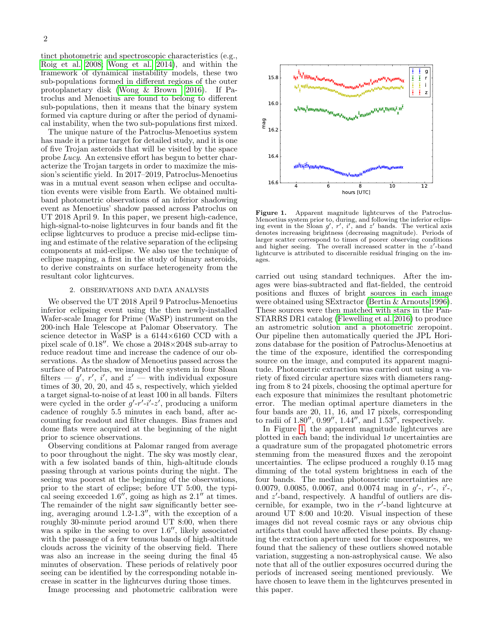tinct photometric and spectroscopic characteristics (e.g., [Roig et al. 2008;](#page-4-12) [Wong et al. 2014\)](#page-4-13), and within the framework of dynamical instability models, these two sub-populations formed in different regions of the outer protoplanetary disk [\(Wong & Brown 2016\)](#page-4-14). If Patroclus and Menoetius are found to belong to different sub-populations, then it means that the binary system formed via capture during or after the period of dynamical instability, when the two sub-populations first mixed.

The unique nature of the Patroclus-Menoetius system has made it a prime target for detailed study, and it is one of five Trojan asteroids that will be visited by the space probe Lucy. An extensive effort has begun to better characterize the Trojan targets in order to maximize the mission's scientific yield. In 2017–2019, Patroclus-Menoetius was in a mutual event season when eclipse and occultation events were visible from Earth. We obtained multiband photometric observations of an inferior shadowing event as Menoetius' shadow passed across Patroclus on UT 2018 April 9. In this paper, we present high-cadence, high-signal-to-noise lightcurves in four bands and fit the eclipse lightcurves to produce a precise mid-eclipse timing and estimate of the relative separation of the eclipsing components at mid-eclipse. We also use the technique of eclipse mapping, a first in the study of binary asteroids, to derive constraints on surface heterogeneity from the resultant color lightcurves.

### 2. OBSERVATIONS AND DATA ANALYSIS

<span id="page-1-1"></span>We observed the UT 2018 April 9 Patroclus-Menoetius inferior eclipsing event using the then newly-installed Wafer-scale Imager for Prime (WaSP) instrument on the 200-inch Hale Telescope at Palomar Observatory. The science detector in WaSP is a 6144×6160 CCD with a pixel scale of  $0.18$ ". We chose a  $2048\times2048$  sub-array to reduce readout time and increase the cadence of our observations. As the shadow of Menoetius passed across the surface of Patroclus, we imaged the system in four Sloan filters —  $g'$ ,  $r'$ ,  $i'$ , and  $z'$  — with individual exposure times of 30, 20, 20, and 45 s, respectively, which yielded a target signal-to-noise of at least 100 in all bands. Filters were cycled in the order  $g'-r'-i'-z'$ , producing a uniform cadence of roughly 5.5 minutes in each band, after accounting for readout and filter changes. Bias frames and dome flats were acquired at the beginning of the night prior to science observations.

Observing conditions at Palomar ranged from average to poor throughout the night. The sky was mostly clear, with a few isolated bands of thin, high-altitude clouds passing through at various points during the night. The seeing was poorest at the beginning of the observations, prior to the start of eclipse; before UT 5:00, the typical seeing exceeded 1.6", going as high as  $2.1$ " at times. The remainder of the night saw significantly better seeing, averaging around  $1.2{\text -}1.3$ ", with the exception of a roughly 30-minute period around UT 8:00, when there was a spike in the seeing to over  $1.6$ ", likely associated with the passage of a few tenuous bands of high-altitude clouds across the vicinity of the observing field. There was also an increase in the seeing during the final 45 minutes of observation. These periods of relatively poor seeing can be identified by the corresponding notable increase in scatter in the lightcurves during those times.

Image processing and photometric calibration were



<span id="page-1-0"></span>Figure 1. Apparent magnitude lightcurves of the Patroclus-Menoetius system prior to, during, and following the inferior eclipsing event in the Sloan  $g'$ ,  $r'$ ,  $i'$ , and  $z'$  bands. The vertical axis denotes increasing brightness (decreasing magnitude). Periods of larger scatter correspond to times of poorer observing conditions and higher seeing. The overall increased scatter in the  $z'$ -band lightcurve is attributed to discernible residual fringing on the images.

carried out using standard techniques. After the images were bias-subtracted and flat-fielded, the centroid positions and fluxes of bright sources in each image were obtained using SExtractor [\(Bertin & Arnouts 1996\)](#page-4-15). These sources were then matched with stars in the Pan-STARRS DR1 catalog [\(Flewelling et al. 2016\)](#page-4-16) to produce an astrometric solution and a photometric zeropoint. Our pipeline then automatically queried the JPL Horizons database for the position of Patroclus-Menoetius at the time of the exposure, identified the corresponding source on the image, and computed its apparent magnitude. Photometric extraction was carried out using a variety of fixed circular aperture sizes with diameters ranging from 8 to 24 pixels, choosing the optimal aperture for each exposure that minimizes the resultant photometric error. The median optimal aperture diameters in the four bands are 20, 11, 16, and 17 pixels, corresponding to radii of  $1.80''$ ,  $0.99''$ ,  $1.44''$ , and  $1.53''$ , respectively.

In Figure [1,](#page-1-0) the apparent magnitude lightcurves are plotted in each band; the individual  $1\sigma$  uncertainties are a quadrature sum of the propagated photometric errors stemming from the measured fluxes and the zeropoint uncertainties. The eclipse produced a roughly 0.15 mag dimming of the total system brightness in each of the four bands. The median photometric uncertainties are 0.0079, 0.0085, 0.0067, and 0.0074 mag in  $g'$ -,  $r'$ -,  $i'$ -, and  $z'$ -band, respectively. A handful of outliers are discernible, for example, two in the  $r'$ -band lightcurve at around UT 8:00 and 10:20. Visual inspection of these images did not reveal cosmic rays or any obvious chip artifacts that could have affected these points. By changing the extraction aperture used for those exposures, we found that the saliency of these outliers showed notable variation, suggesting a non-astrophysical cause. We also note that all of the outlier exposures occurred during the periods of increased seeing mentioned previously. We have chosen to leave them in the lightcurves presented in this paper.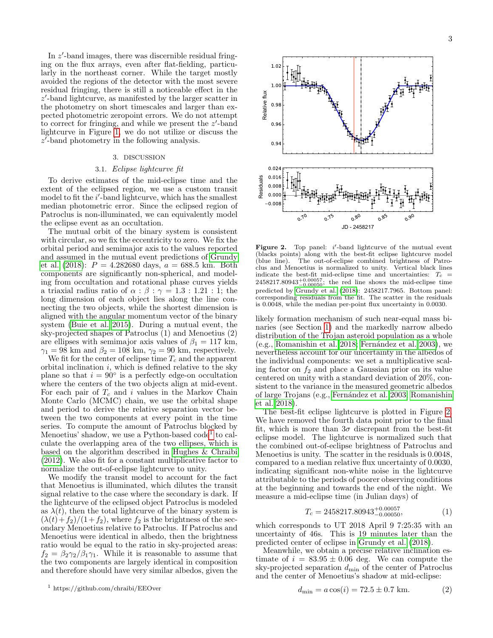In  $z'$ -band images, there was discernible residual fringing on the flux arrays, even after flat-fielding, particularly in the northeast corner. While the target mostly avoided the regions of the detector with the most severe residual fringing, there is still a noticeable effect in the  $z'$ -band lightcurve, as manifested by the larger scatter in the photometry on short timescales and larger than expected photometric zeropoint errors. We do not attempt to correct for fringing, and while we present the  $z'$ -band lightcurve in Figure [1,](#page-1-0) we do not utilize or discuss the z 0 -band photometry in the following analysis.

# 3. DISCUSSION

## 3.1. Eclipse lightcurve fit

<span id="page-2-2"></span>To derive estimates of the mid-eclipse time and the extent of the eclipsed region, we use a custom transit model to fit the  $i'$ -band lightcurve, which has the smallest median photometric error. Since the eclipsed region of Patroclus is non-illuminated, we can equivalently model the eclipse event as an occultation.

The mutual orbit of the binary system is consistent with circular, so we fix the eccentricity to zero. We fix the orbital period and semimajor axis to the values reported and assumed in the mutual event predictions of [Grundy](#page-4-0) [et al.](#page-4-0) [\(2018\)](#page-4-0):  $P = 4.282680 \text{ days}, a = 688.5 \text{ km}.$  Both components are significantly non-spherical, and modeling from occultation and rotational phase curves yields a triaxial radius ratio of  $\alpha$  :  $\beta$  :  $\gamma = 1.3$  : 1.21 : 1; the long dimension of each object lies along the line connecting the two objects, while the shortest dimension is aligned with the angular momentum vector of the binary system [\(Buie et al. 2015\)](#page-4-8). During a mutual event, the sky-projected shapes of Patroclus (1) and Menoetius (2) are ellipses with semimajor axis values of  $\beta_1 = 117$  km,  $\gamma_1 = 98$  km and  $\beta_2 = 108$  km,  $\gamma_2 = 90$  km, respectively.

We fit for the center of eclipse time  $T_c$  and the apparent orbital inclination  $i$ , which is defined relative to the sky plane so that  $i = 90^\circ$  is a perfectly edge-on occultation where the centers of the two objects align at mid-event. For each pair of  $T_c$  and i values in the Markov Chain Monte Carlo (MCMC) chain, we use the orbital shape and period to derive the relative separation vector between the two components at every point in the time series. To compute the amount of Patroclus blocked by Menoetius' shadow, we use a Python-based code<sup>[1](#page-2-0)</sup> to calculate the overlapping area of the two ellipses, which is based on the algorithm described in [Hughes & Chraibi](#page-4-17) [\(2012\)](#page-4-17). We also fit for a constant multiplicative factor to normalize the out-of-eclipse lightcurve to unity.

We modify the transit model to account for the fact that Menoetius is illuminated, which dilutes the transit signal relative to the case where the secondary is dark. If the lightcurve of the eclipsed object Patroclus is modeled as  $\lambda(t)$ , then the total lightcurve of the binary system is  $(\lambda(t)+f_2)/(1+f_2)$ , where  $f_2$  is the brightness of the secondary Menoetius relative to Patroclus. If Patroclus and Menoetius were identical in albedo, then the brightness ratio would be equal to the ratio in sky-projected areas:  $f_2 = \beta_2 \gamma_2 / \beta_1 \gamma_1$ . While it is reasonable to assume that the two components are largely identical in composition and therefore should have very similar albedos, given the



<span id="page-2-1"></span>Figure 2. Top panel:  $i'$ -band lightcurve of the mutual event (blacks points) along with the best-fit eclipse lightcurve model<br>(blue line). The out-of-eclipse combined brightness of Patro-The out-of-eclipse combined brightness of Patroclus and Menoetius is normalized to unity. Vertical black lines indicate the best-fit mid-eclipse time and uncertainties:  $T_c$  =  $2458217.80943_{-0.00050}^{+0.00057}$ ; the red line shows the mid-eclipse time predicted by [Grundy et al.](#page-4-0) [\(2018\)](#page-4-0): 2458217.7965. Bottom panel: corresponding residuals from the fit. The scatter in the residuals is 0.0048, while the median per-point flux uncertainty in 0.0030.

likely formation mechanism of such near-equal mass binaries (see Section [1\)](#page-0-0) and the markedly narrow albedo distribution of the Trojan asteroid population as a whole  $(e.g., Romanishin et al. 2018; Fernández et al. 2003), we$  $(e.g., Romanishin et al. 2018; Fernández et al. 2003), we$  $(e.g., Romanishin et al. 2018; Fernández et al. 2003), we$ nevertheless account for our uncertainty in the albedos of the individual components: we set a multiplicative scaling factor on  $f_2$  and place a Gaussian prior on its value centered on unity with a standard deviation of 20%, consistent to the variance in the measured geometric albedos of large Trojans (e.g., [Fern´andez et al. 2003;](#page-4-19) [Romanishin](#page-4-18) [et al. 2018\)](#page-4-18).

The best-fit eclipse lightcurve is plotted in Figure [2.](#page-2-1) We have removed the fourth data point prior to the final fit, which is more than  $3\sigma$  discrepant from the best-fit eclipse model. The lightcurve is normalized such that the combined out-of-eclipse brightness of Patroclus and Menoetius is unity. The scatter in the residuals is 0.0048, compared to a median relative flux uncertainty of 0.0030, indicating significant non-white noise in the lightcurve attributable to the periods of poorer observing conditions at the beginning and towards the end of the night. We measure a mid-eclipse time (in Julian days) of

$$
T_c = 2458217.80943^{+0.00057}_{-0.00050},\tag{1}
$$

which corresponds to UT 2018 April 9 7:25:35 with an uncertainty of 46s. This is 19 minutes later than the predicted center of eclipse in [Grundy et al.](#page-4-0) [\(2018\)](#page-4-0).

Meanwhile, we obtain a precise relative inclination estimate of  $i = 83.95 \pm 0.06$  deg. We can compute the sky-projected separation  $d_{\min}$  of the center of Patroclus and the center of Menoetius's shadow at mid-eclipse:

<span id="page-2-0"></span><sup>1</sup> https://github.com/chraibi/EEOver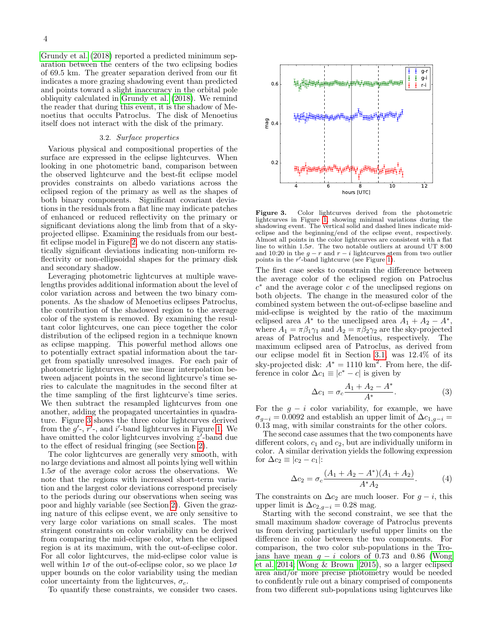[Grundy et al.](#page-4-0) [\(2018\)](#page-4-0) reported a predicted minimum separation between the centers of the two eclipsing bodies of 69.5 km. The greater separation derived from our fit indicates a more grazing shadowing event than predicted and points toward a slight inaccuracy in the orbital pole obliquity calculated in [Grundy et al.](#page-4-0) [\(2018\)](#page-4-0). We remind the reader that during this event, it is the shadow of Menoetius that occults Patroclus. The disk of Menoetius itself does not interact with the disk of the primary.

#### 3.2. Surface properties

Various physical and compositional properties of the surface are expressed in the eclipse lightcurves. When looking in one photometric band, comparison between the observed lightcurve and the best-fit eclipse model provides constraints on albedo variations across the eclipsed region of the primary as well as the shapes of both binary components. Significant covariant deviations in the residuals from a flat line may indicate patches of enhanced or reduced reflectivity on the primary or significant deviations along the limb from that of a skyprojected ellipse. Examining the residuals from our bestfit eclipse model in Figure [2,](#page-2-1) we do not discern any statistically significant deviations indicating non-uniform reflectivity or non-ellipsoidal shapes for the primary disk and secondary shadow.

Leveraging photometric lightcurves at multiple wavelengths provides additional information about the level of color variation across and between the two binary components. As the shadow of Menoetius eclipses Patroclus, the contribution of the shadowed region to the average color of the system is removed. By examining the resultant color lightcurves, one can piece together the color distribution of the eclipsed region in a technique known as eclipse mapping. This powerful method allows one to potentially extract spatial information about the target from spatially unresolved images. For each pair of photometric lightcurves, we use linear interpolation between adjacent points in the second lightcurve's time series to calculate the magnitudes in the second filter at the time sampling of the first lightcurve's time series. We then subtract the resampled lightcurves from one another, adding the propagated uncertainties in quadrature. Figure [3](#page-3-0) shows the three color lightcurves derived from the  $g'$ -,  $r'$ -, and i'-band lightcurves in Figure [1.](#page-1-0) We have omitted the color lightcurves involving  $z^{\prime}$ -band due to the effect of residual fringing (see Section [2\)](#page-1-1).

The color lightcurves are generally very smooth, with no large deviations and almost all points lying well within  $1.5\sigma$  of the average color across the observations. We note that the regions with increased short-term variation and the largest color deviations correspond precisely to the periods during our observations when seeing was poor and highly variable (see Section [2\)](#page-1-1). Given the grazing nature of this eclipse event, we are only sensitive to very large color variations on small scales. The most stringent constraints on color variability can be derived from comparing the mid-eclipse color, when the eclipsed region is at its maximum, with the out-of-eclipse color. For all color lightcurves, the mid-eclipse color value is well within  $1\sigma$  of the out-of-eclipse color, so we place  $1\sigma$ upper bounds on the color variability using the median color uncertainty from the lightcurves,  $\sigma_c$ .

To quantify these constraints, we consider two cases.



<span id="page-3-0"></span>Figure 3. Color lightcurves derived from the photometric lightcurves in Figure [1,](#page-1-0) showing minimal variations during the shadowing event. The vertical solid and dashed lines indicate mideclipse and the beginning/end of the eclipse event, respectively. Almost all points in the color lightcurves are consistent with a flat line to within 1.5 $\sigma$ . The two notable outliers at around UT 8:00 and 10:20 in the  $g - r$  and  $r - i$  lightcurves stem from two outlier points in the  $r'$ -band lightcurve (see Figure [1\)](#page-1-0).

The first case seeks to constrain the difference between the average color of the eclipsed region on Patroclus  $c^*$  and the average color c of the uneclipsed regions on both objects. The change in the measured color of the combined system between the out-of-eclipse baseline and mid-eclipse is weighted by the ratio of the maximum eclipsed area  $A^*$  to the uneclipsed area  $A_1 + A_2 - A^*$ , where  $A_1 = \pi \beta_1 \gamma_1$  and  $A_2 = \pi \beta_2 \gamma_2$  are the sky-projected areas of Patroclus and Menoetius, respectively. The maximum eclipsed area of Patroclus, as derived from our eclipse model fit in Section [3.1,](#page-2-2) was 12.4% of its sky-projected disk:  $A^* = 1110 \text{ km}^2$ . From here, the difference in color  $\Delta c_1 \equiv |c^* - c|$  is given by

$$
\Delta c_1 = \sigma_c \frac{A_1 + A_2 - A^*}{A^*}.
$$
 (3)

For the  $g - i$  color variability, for example, we have  $\sigma_{q-i} = 0.0092$  and establish an upper limit of  $\Delta c_{1,q-i} =$ 0.13 mag, with similar constraints for the other colors.

The second case assumes that the two components have different colors,  $c_1$  and  $c_2$ , but are individually uniform in color. A similar derivation yields the following expression for  $\Delta c_2 \equiv |c_2 - c_1|$ :

$$
\Delta c_2 = \sigma_c \frac{(A_1 + A_2 - A^*)(A_1 + A_2)}{A^* A_2}.
$$
 (4)

The constraints on  $\Delta c_2$  are much looser. For  $g - i$ , this upper limit is  $\Delta c_{2,q-i} = 0.28$  mag.

Starting with the second constraint, we see that the small maximum shadow coverage of Patroclus prevents us from deriving particularly useful upper limits on the difference in color between the two components. For comparison, the two color sub-populations in the Trojans have mean  $g - i$  colors of 0.73 and 0.86 [\(Wong](#page-4-13) [et al. 2014;](#page-4-13) [Wong & Brown 2015\)](#page-4-20), so a larger eclipsed area and/or more precise photometry would be needed to confidently rule out a binary comprised of components from two different sub-populations using lightcurves like